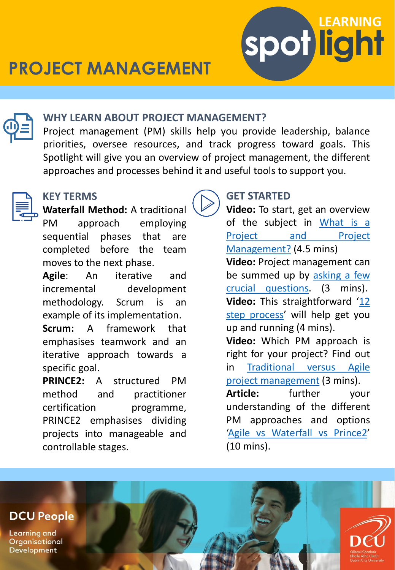



### **WHY LEARN ABOUT PROJECT MANAGEMENT?**

Project management (PM) skills help you provide leadership, balance priorities, oversee resources, and track progress toward goals. This Spotlight will give you an overview of project management, the different approaches and processes behind it and useful tools to support you.



## **KEY TERMS**

**Waterfall Method:** A traditional PM approach employing sequential phases that are completed before the team moves to the next phase.

**Agile**: An iterative and incremental development methodology. Scrum is an example of its implementation.

**Scrum:** A framework that emphasises teamwork and an iterative approach towards a specific goal.

**PRINCE2:** A structured PM method and practitioner certification programme, PRINCE2 emphasises dividing projects into manageable and controllable stages.

# **GET STARTED**

**Video:** To start, get an overview of the subject in What is a Project and Project [Management?](https://www.linkedin.com/learning-login/share?account=2372722&forceAccount=false&redirect=https://www.linkedin.com/learning/how-to-be-an-effective-project-sponsor/what-is-a-project-and-project-management?trk%3Dshare_video_url%26shareId%3D1%2Btq2MOlT1KViBH5SlNSTg%3D%3D) (4.5 mins) **Video:** Project management can be summed up by asking a few crucial [questions.](https://www.linkedin.com/learning/project-management-foundations-4/what-is-project-management-3?autoAdvance=true&autoSkip=false&autoplay=true&resume=false&u=2372722) (3 mins). **Video:** This [straightforward](https://www.linkedin.com/learning/project-management-simplified-2019/introduction-to-the-12-step-process?autoAdvance=true&autoSkip=false&autoplay=true&resume=false&u=2372722) '12 step process' will help get you up and running (4 mins).

**Video:** Which PM approach is right for your project? Find out in Traditional versus Agile project [management](https://www.linkedin.com/learning/project-management-foundations-4/traditional-vs-agile-project-management-3?autoAdvance=true&autoSkip=false&autoplay=true&contextUrn=urn:li:lyndaLearningPath:5ea9e398498ed2dea79ae2ce&resume=false&u=2372722) (3 mins).

**Article:** further your understanding of the different PM approaches and options 'Agile vs [Waterfall](https://www.linkedin.com/pulse/agile-vs-waterfall-prince2-advantages-disadvantages-solus/) vs Prince2' (10 mins).